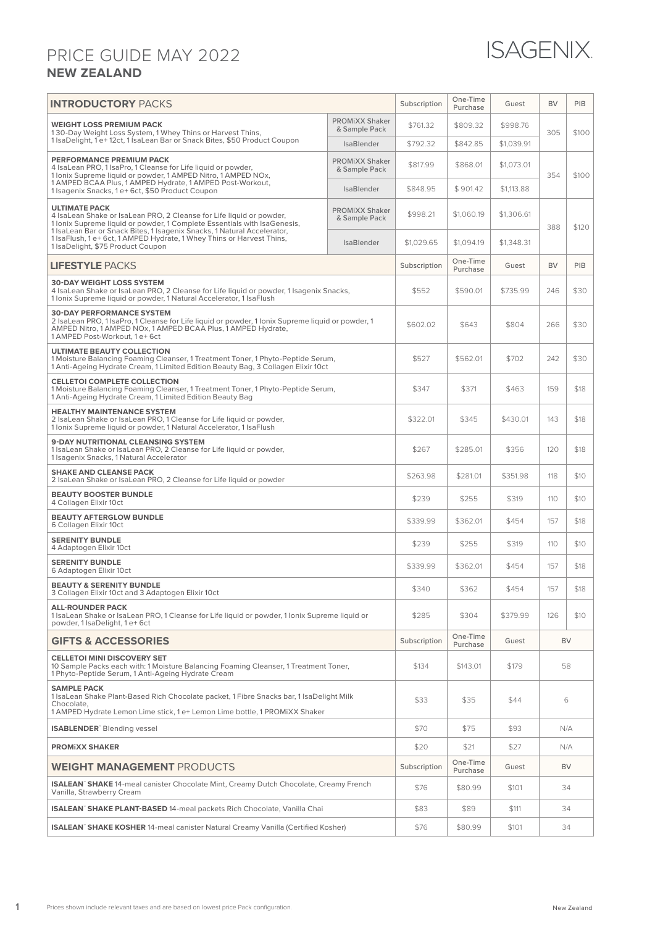## **NEW ZEALAND** PRICE GUIDE MAY 2022



| <b>INTRODUCTORY PACKS</b>                                                                                                                                                                                                                                                                                                                                         |                                        | Subscription | One-Time<br>Purchase | Guest      | <b>BV</b>        | PIB   |  |
|-------------------------------------------------------------------------------------------------------------------------------------------------------------------------------------------------------------------------------------------------------------------------------------------------------------------------------------------------------------------|----------------------------------------|--------------|----------------------|------------|------------------|-------|--|
| <b>WEIGHT LOSS PREMIUM PACK</b><br>130-Day Weight Loss System, 1 Whey Thins or Harvest Thins,<br>1 IsaDelight, 1 e+12ct, 1 IsaLean Bar or Snack Bites, \$50 Product Coupon                                                                                                                                                                                        | <b>PROMIXX Shaker</b><br>& Sample Pack | \$761.32     | \$809.32             | \$998.76   | 305              | \$100 |  |
|                                                                                                                                                                                                                                                                                                                                                                   | <b>IsaBlender</b>                      | \$792.32     | \$842.85             | \$1,039.91 |                  |       |  |
| PERFORMANCE PREMIUM PACK<br>4 IsaLean PRO, 1 IsaPro, 1 Cleanse for Life liquid or powder,<br>1 Ionix Supreme liquid or powder, 1 AMPED Nitro, 1 AMPED NOx,<br>1 AMPED BCAA Plus, 1 AMPED Hydrate, 1 AMPED Post-Workout,<br>1 Isagenix Snacks, 1 e+ 6ct, \$50 Product Coupon                                                                                       | <b>PROMIXX Shaker</b><br>& Sample Pack | \$817.99     | \$868.01             | \$1,073.01 | 354              | \$100 |  |
|                                                                                                                                                                                                                                                                                                                                                                   | <b>IsaBlender</b>                      | \$848.95     | \$901.42             | \$1,113.88 |                  |       |  |
| <b>ULTIMATE PACK</b><br>4 IsaLean Shake or IsaLean PRO, 2 Cleanse for Life liquid or powder,<br>1 Ionix Supreme liquid or powder, 1 Complete Essentials with IsaGenesis,<br>1 IsaLean Bar or Snack Bites, 1 Isagenix Snacks, 1 Natural Accelerator,<br>1 IsaFlush, 1 e+ 6ct, 1 AMPED Hydrate, 1 Whey Thins or Harvest Thins,<br>1 IsaDelight, \$75 Product Coupon | <b>PROMIXX Shaker</b><br>& Sample Pack | \$998.21     | \$1,060.19           | \$1,306.61 | 388              | \$120 |  |
|                                                                                                                                                                                                                                                                                                                                                                   | <b>IsaBlender</b>                      | \$1,029.65   | \$1,094.19           | \$1,348.31 |                  |       |  |
| <b>LIFESTYLE PACKS</b>                                                                                                                                                                                                                                                                                                                                            |                                        | Subscription | One-Time<br>Purchase | Guest      | <b>BV</b>        | PIB   |  |
| <b>30-DAY WEIGHT LOSS SYSTEM</b><br>4 IsaLean Shake or IsaLean PRO, 2 Cleanse for Life liquid or powder, 1 Isagenix Snacks,<br>1 Ionix Supreme liquid or powder, 1 Natural Accelerator, 1 IsaFlush                                                                                                                                                                |                                        | \$552        | \$590.01             | \$735.99   | 246              | \$30  |  |
| <b>30-DAY PERFORMANCE SYSTEM</b><br>2 IsaLean PRO, 1 IsaPro, 1 Cleanse for Life liquid or powder, 1 Ionix Supreme liquid or powder, 1<br>AMPED Nitro, 1 AMPED NOx, 1 AMPED BCAA Plus, 1 AMPED Hydrate,<br>1 AMPED Post-Workout, 1 e+ 6ct                                                                                                                          |                                        | \$602.02     | \$643                | \$804      | 266              | \$30  |  |
| <b>ULTIMATE BEAUTY COLLECTION</b><br>1 Moisture Balancing Foaming Cleanser, 1 Treatment Toner, 1 Phyto-Peptide Serum,<br>1 Anti-Ageing Hydrate Cream, 1 Limited Edition Beauty Bag, 3 Collagen Elixir 10ct                                                                                                                                                        |                                        | \$527        | \$562.01             | \$702      | 242              | \$30  |  |
| <b>CELLETOI COMPLETE COLLECTION</b><br>1 Moisture Balancing Foaming Cleanser, 1 Treatment Toner, 1 Phyto-Peptide Serum,<br>1 Anti-Ageing Hydrate Cream, 1 Limited Edition Beauty Bag                                                                                                                                                                              |                                        | \$347        | \$371                | \$463      | 159              | \$18  |  |
| <b>HEALTHY MAINTENANCE SYSTEM</b><br>2 IsaLean Shake or IsaLean PRO, 1 Cleanse for Life liquid or powder,<br>1 Ionix Supreme liquid or powder, 1 Natural Accelerator, 1 IsaFlush                                                                                                                                                                                  |                                        | \$322.01     | \$345                | \$430.01   | 143              | \$18  |  |
| 9-DAY NUTRITIONAL CLEANSING SYSTEM<br>1 IsaLean Shake or IsaLean PRO, 2 Cleanse for Life liquid or powder,<br>1 Isagenix Snacks, 1 Natural Accelerator                                                                                                                                                                                                            |                                        | \$267        | \$285.01             | \$356      | 120              | \$18  |  |
| <b>SHAKE AND CLEANSE PACK</b><br>2 IsaLean Shake or IsaLean PRO, 2 Cleanse for Life liquid or powder                                                                                                                                                                                                                                                              |                                        | \$263.98     | \$281.01             | \$351.98   | 118              | \$10  |  |
| <b>BEAUTY BOOSTER BUNDLE</b><br>4 Collagen Elixir 10ct                                                                                                                                                                                                                                                                                                            |                                        | \$239        | \$255                | \$319      | 110              | \$10  |  |
| <b>BEAUTY AFTERGLOW BUNDLE</b><br>6 Collagen Elixir 10ct                                                                                                                                                                                                                                                                                                          |                                        | \$339.99     | \$362.01             | \$454      | 157              | \$18  |  |
| <b>SERENITY BUNDLE</b><br>4 Adaptogen Elixir 10ct                                                                                                                                                                                                                                                                                                                 |                                        | \$239        | \$255                | \$319      | 110              | \$10  |  |
| <b>SERENITY BUNDLE</b><br>6 Adaptogen Elixir 10ct                                                                                                                                                                                                                                                                                                                 |                                        | \$339.99     | \$362.01             | \$454      | 157              | \$18  |  |
| <b>BEAUTY &amp; SERENITY BUNDLE</b><br>3 Collagen Elixir 10ct and 3 Adaptogen Elixir 10ct                                                                                                                                                                                                                                                                         |                                        | \$340        | \$362                | \$454      | 157              | \$18  |  |
| <b>ALL-ROUNDER PACK</b><br>1 IsaLean Shake or IsaLean PRO, 1 Cleanse for Life liquid or powder, 1 Ionix Supreme liquid or<br>powder, 1 IsaDelight, 1 e+6ct                                                                                                                                                                                                        |                                        | \$285        | \$304                | \$379.99   | 126              | \$10  |  |
| <b>GIFTS &amp; ACCESSORIES</b>                                                                                                                                                                                                                                                                                                                                    |                                        | Subscription | One-Time<br>Purchase | Guest      | BV               |       |  |
| <b>CELLETOI MINI DISCOVERY SET</b><br>10 Sample Packs each with: 1 Moisture Balancing Foaming Cleanser, 1 Treatment Toner,<br>1 Phyto-Peptide Serum, 1 Anti-Ageing Hydrate Cream                                                                                                                                                                                  |                                        | \$134        | \$143.01             | \$179      | 58               |       |  |
| <b>SAMPLE PACK</b><br>1 IsaLean Shake Plant-Based Rich Chocolate packet, 1 Fibre Snacks bar, 1 IsaDelight Milk<br>Chocolate,                                                                                                                                                                                                                                      |                                        | \$33         | \$35                 | \$44       |                  | 6     |  |
| 1 AMPED Hydrate Lemon Lime stick, 1 e+ Lemon Lime bottle, 1 PROMiXX Shaker                                                                                                                                                                                                                                                                                        |                                        | \$70         | \$75                 | \$93       |                  |       |  |
| <b>ISABLENDER</b> Blending vessel                                                                                                                                                                                                                                                                                                                                 |                                        |              |                      |            | N/A              |       |  |
| <b>PROMIXX SHAKER</b>                                                                                                                                                                                                                                                                                                                                             |                                        | \$20         | \$21<br>One-Time     | \$27       | N/A<br><b>BV</b> |       |  |
| <b>WEIGHT MANAGEMENT PRODUCTS</b><br><b>ISALEAN</b> SHAKE 14-meal canister Chocolate Mint, Creamy Dutch Chocolate, Creamy French                                                                                                                                                                                                                                  |                                        | Subscription | Purchase             | Guest      |                  |       |  |
| Vanilla, Strawberry Cream                                                                                                                                                                                                                                                                                                                                         |                                        | \$76         | \$80.99              | \$101      | 34               |       |  |
| ISALEAN <sup>®</sup> SHAKE PLANT-BASED 14-meal packets Rich Chocolate, Vanilla Chai                                                                                                                                                                                                                                                                               |                                        | \$83         | \$89                 | \$111      | 34               |       |  |
| <b>ISALEAN</b> SHAKE KOSHER 14-meal canister Natural Creamy Vanilla (Certified Kosher)                                                                                                                                                                                                                                                                            |                                        | \$76         | \$80.99              | \$101      | 34               |       |  |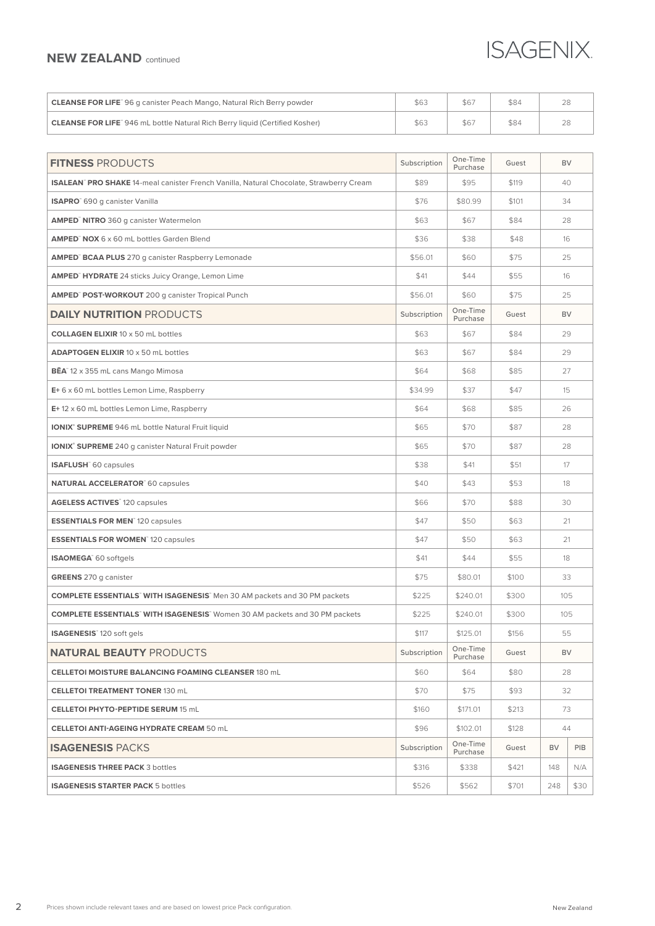## **NEW ZEALAND** continued

## **ISAGENIX**

| <b>CLEANSE FOR LIFE</b> 96 g canister Peach Mango, Natural Rich Berry powder       |     |      |  |
|------------------------------------------------------------------------------------|-----|------|--|
| <b>CLEANSE FOR LIFE</b> 946 mL bottle Natural Rich Berry liquid (Certified Kosher) | 56. | \$84 |  |

| <b>FITNESS PRODUCTS</b>                                                                       | Subscription | One-Time<br>Purchase | Guest | <b>BV</b>   |     |
|-----------------------------------------------------------------------------------------------|--------------|----------------------|-------|-------------|-----|
| <b>ISALEAN</b> PRO SHAKE 14-meal canister French Vanilla, Natural Chocolate, Strawberry Cream | \$89         | \$95                 | \$119 | 40          |     |
| <b>ISAPRO</b> 690 g canister Vanilla                                                          | \$76         | \$80.99              | \$101 | 34          |     |
| <b>AMPED<sup>®</sup> NITRO</b> 360 g canister Watermelon                                      | \$63         | \$67                 | \$84  | 28          |     |
| <b>AMPED</b> NOX 6 x 60 mL bottles Garden Blend                                               | \$36         | \$38                 | \$48  | 16          |     |
| <b>AMPED<sup>®</sup> BCAA PLUS</b> 270 g canister Raspberry Lemonade                          | \$56.01      | \$60                 | \$75  | 25          |     |
| <b>AMPED<sup>®</sup> HYDRATE</b> 24 sticks Juicy Orange, Lemon Lime                           | \$41         | \$44                 | \$55  | 16          |     |
| <b>AMPED<sup>®</sup> POST-WORKOUT</b> 200 g canister Tropical Punch                           | \$56.01      | \$60                 | \$75  | 25          |     |
| <b>DAILY NUTRITION PRODUCTS</b>                                                               | Subscription | One-Time<br>Purchase | Guest | <b>BV</b>   |     |
| <b>COLLAGEN ELIXIR 10 x 50 mL bottles</b>                                                     | \$63         | \$67                 | \$84  | 29          |     |
| <b>ADAPTOGEN ELIXIR 10 x 50 mL bottles</b>                                                    | \$63         | \$67                 | \$84  | 29          |     |
| <b>BĒA</b> 12 x 355 mL cans Mango Mimosa                                                      | \$64         | \$68                 | \$85  | 27          |     |
| E+6 x 60 mL bottles Lemon Lime, Raspberry                                                     | \$34.99      | \$37                 | \$47  | 15          |     |
| $E+12 \times 60$ mL bottles Lemon Lime, Raspberry                                             | \$64         | \$68                 | \$85  | 26          |     |
| <b>IONIX® SUPREME</b> 946 mL bottle Natural Fruit liquid                                      | \$65         | \$70                 | \$87  | 28          |     |
| <b>IONIX<sup>®</sup> SUPREME</b> 240 q canister Natural Fruit powder                          | \$65         | \$70                 | \$87  | 28          |     |
| <b>ISAFLUSH</b> 60 capsules                                                                   | \$38         | \$41                 | \$51  | 17          |     |
| <b>NATURAL ACCELERATOR</b> 60 capsules                                                        | \$40         | \$43                 | \$53  | 18          |     |
| <b>AGELESS ACTIVES</b> 120 capsules                                                           | \$66         | \$70                 | \$88  | 30          |     |
| <b>ESSENTIALS FOR MEN</b> 120 capsules                                                        | \$47         | \$50                 | \$63  | 21          |     |
| <b>ESSENTIALS FOR WOMEN</b> 120 capsules                                                      | \$47         | \$50                 | \$63  | 21          |     |
| ISAOMEGA <sup>®</sup> 60 softgels                                                             | \$41         | \$44                 | \$55  | 18          |     |
| <b>GREENS</b> 270 g canister                                                                  | \$75         | \$80.01              | \$100 | 33          |     |
| <b>COMPLETE ESSENTIALS</b> WITH ISAGENESIS Men 30 AM packets and 30 PM packets                | \$225        | \$240.01             | \$300 | 105         |     |
| <b>COMPLETE ESSENTIALS WITH ISAGENESIS</b> Women 30 AM packets and 30 PM packets              | \$225        | \$240.01             | \$300 | 105         |     |
| <b>ISAGENESIS</b> 120 soft gels                                                               | \$117        | \$125.01             | \$156 | 55          |     |
| <b>NATURAL BEAUTY PRODUCTS</b>                                                                | Subscription | One-Time<br>Purchase | Guest | <b>BV</b>   |     |
| <b>CELLETOI MOISTURE BALANCING FOAMING CLEANSER 180 mL</b>                                    | \$60         | \$64                 | \$80  | 28          |     |
| <b>CELLETOI TREATMENT TONER 130 mL</b>                                                        | \$70         | \$75                 | \$93  | 32          |     |
| <b>CELLETOI PHYTO-PEPTIDE SERUM 15 mL</b>                                                     | \$160        | \$171.01             | \$213 | 73          |     |
| <b>CELLETOI ANTI-AGEING HYDRATE CREAM 50 mL</b>                                               | \$96         | \$102.01             | \$128 | 44          |     |
| <b>ISAGENESIS PACKS</b>                                                                       | Subscription | One-Time<br>Purchase | Guest | <b>BV</b>   | PIB |
| <b>ISAGENESIS THREE PACK 3 bottles</b>                                                        | \$316        | \$338                | \$421 | 148         | N/A |
| <b>ISAGENESIS STARTER PACK 5 bottles</b>                                                      | \$526        | \$562                | \$701 | 248<br>\$30 |     |